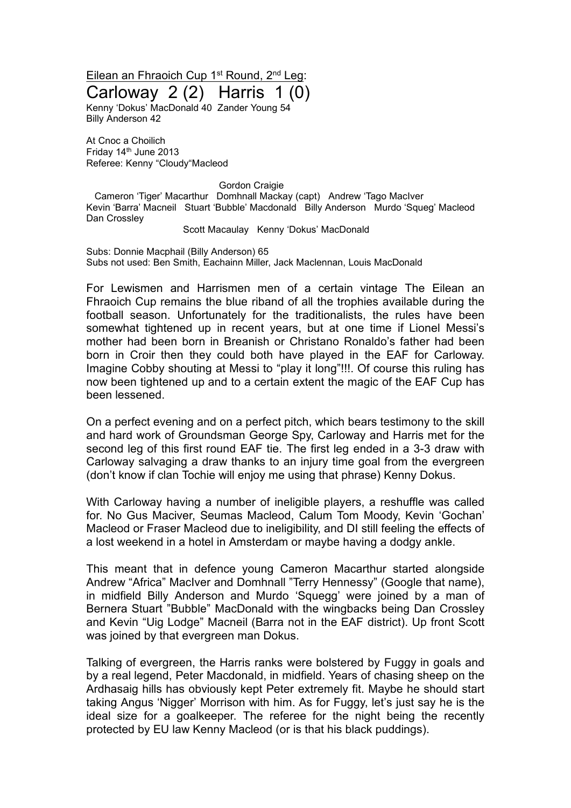Eilean an Fhraoich Cup 1<sup>st</sup> Round, 2<sup>nd</sup> Leg: Carloway 2 (2) Harris 1 (0)

Kenny 'Dokus' MacDonald 40 Zander Young 54 Billy Anderson 42

At Cnoc a Choilich Friday 14<sup>th</sup> June 2013 Referee: Kenny "Cloudy"Macleod

Gordon Craigie

Cameron 'Tiger' Macarthur Domhnall Mackay (capt) Andrew 'Tago MacIver Kevin 'Barra' Macneil Stuart 'Bubble' Macdonald Billy Anderson Murdo 'Squeg' Macleod Dan Crossley

Scott Macaulay Kenny 'Dokus' MacDonald

Subs: Donnie Macphail (Billy Anderson) 65 Subs not used: Ben Smith, Eachainn Miller, Jack Maclennan, Louis MacDonald

For Lewismen and Harrismen men of a certain vintage The Eilean an Fhraoich Cup remains the blue riband of all the trophies available during the football season. Unfortunately for the traditionalists, the rules have been somewhat tightened up in recent years, but at one time if Lionel Messi's mother had been born in Breanish or Christano Ronaldo's father had been born in Croir then they could both have played in the EAF for Carloway. Imagine Cobby shouting at Messi to "play it long"!!!. Of course this ruling has now been tightened up and to a certain extent the magic of the EAF Cup has been lessened.

On a perfect evening and on a perfect pitch, which bears testimony to the skill and hard work of Groundsman George Spy, Carloway and Harris met for the second leg of this first round EAF tie. The first leg ended in a 3-3 draw with Carloway salvaging a draw thanks to an injury time goal from the evergreen (don't know if clan Tochie will enjoy me using that phrase) Kenny Dokus.

With Carloway having a number of ineligible players, a reshuffle was called for. No Gus Maciver, Seumas Macleod, Calum Tom Moody, Kevin 'Gochan' Macleod or Fraser Macleod due to ineligibility, and DI still feeling the effects of a lost weekend in a hotel in Amsterdam or maybe having a dodgy ankle.

This meant that in defence young Cameron Macarthur started alongside Andrew "Africa" MacIver and Domhnall "Terry Hennessy" (Google that name), in midfield Billy Anderson and Murdo 'Squegg' were joined by a man of Bernera Stuart "Bubble" MacDonald with the wingbacks being Dan Crossley and Kevin "Uig Lodge" Macneil (Barra not in the EAF district). Up front Scott was joined by that evergreen man Dokus.

Talking of evergreen, the Harris ranks were bolstered by Fuggy in goals and by a real legend, Peter Macdonald, in midfield. Years of chasing sheep on the Ardhasaig hills has obviously kept Peter extremely fit. Maybe he should start taking Angus 'Nigger' Morrison with him. As for Fuggy, let's just say he is the ideal size for a goalkeeper. The referee for the night being the recently protected by EU law Kenny Macleod (or is that his black puddings).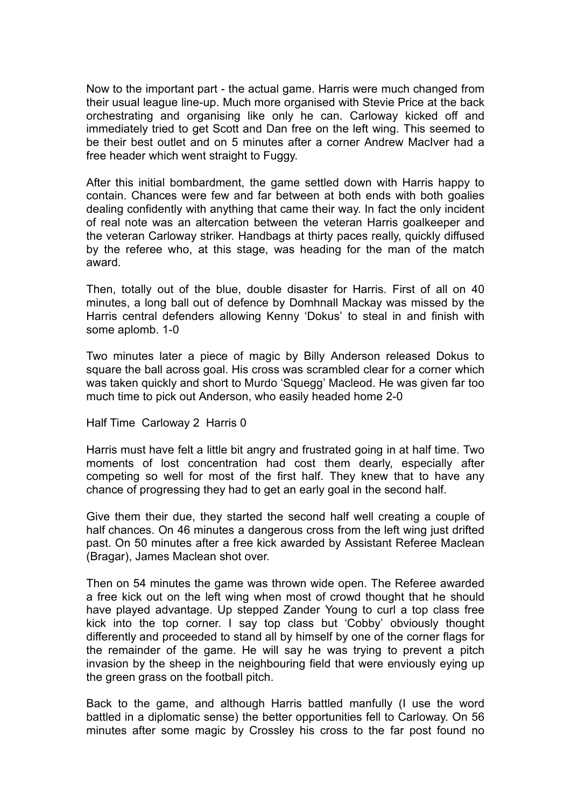Now to the important part - the actual game. Harris were much changed from their usual league line-up. Much more organised with Stevie Price at the back orchestrating and organising like only he can. Carloway kicked off and immediately tried to get Scott and Dan free on the left wing. This seemed to be their best outlet and on 5 minutes after a corner Andrew MacIver had a free header which went straight to Fuggy.

After this initial bombardment, the game settled down with Harris happy to contain. Chances were few and far between at both ends with both goalies dealing confidently with anything that came their way. In fact the only incident of real note was an altercation between the veteran Harris goalkeeper and the veteran Carloway striker. Handbags at thirty paces really, quickly diffused by the referee who, at this stage, was heading for the man of the match award.

Then, totally out of the blue, double disaster for Harris. First of all on 40 minutes, a long ball out of defence by Domhnall Mackay was missed by the Harris central defenders allowing Kenny 'Dokus' to steal in and finish with some aplomb. 1-0

Two minutes later a piece of magic by Billy Anderson released Dokus to square the ball across goal. His cross was scrambled clear for a corner which was taken quickly and short to Murdo 'Squegg' Macleod. He was given far too much time to pick out Anderson, who easily headed home 2-0

Half Time Carloway 2 Harris 0

Harris must have felt a little bit angry and frustrated going in at half time. Two moments of lost concentration had cost them dearly, especially after competing so well for most of the first half. They knew that to have any chance of progressing they had to get an early goal in the second half.

Give them their due, they started the second half well creating a couple of half chances. On 46 minutes a dangerous cross from the left wing just drifted past. On 50 minutes after a free kick awarded by Assistant Referee Maclean (Bragar), James Maclean shot over.

Then on 54 minutes the game was thrown wide open. The Referee awarded a free kick out on the left wing when most of crowd thought that he should have played advantage. Up stepped Zander Young to curl a top class free kick into the top corner. I say top class but 'Cobby' obviously thought differently and proceeded to stand all by himself by one of the corner flags for the remainder of the game. He will say he was trying to prevent a pitch invasion by the sheep in the neighbouring field that were enviously eying up the green grass on the football pitch.

Back to the game, and although Harris battled manfully (I use the word battled in a diplomatic sense) the better opportunities fell to Carloway. On 56 minutes after some magic by Crossley his cross to the far post found no